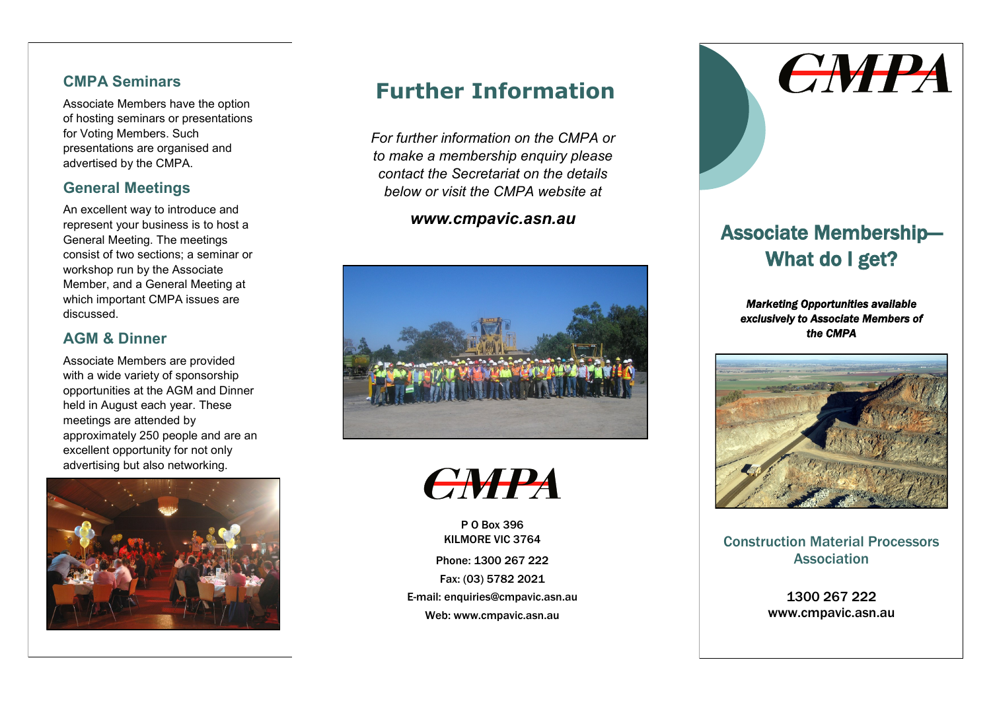#### **CMPA Seminars**

Associate Members have the option of hosting seminars or presentations for Voting Members. Such presentations are organised and advertised by the CMPA.

## **General Meetings**

An excellent way to introduce and represent your business is to host a General Meeting. The meetings consist of two sections; a seminar or workshop run by the Associate Member, and a General Meeting at which important CMPA issues are discussed.

### **AGM & Dinner**

Associate Members are provided with a wide variety of sponsorship opportunities at the AGM and Dinner held in August each year. These meetings are attended by approximately 250 people and are an excellent opportunity for not only advertising but also networking.



# **Further Information**

*For further information on the CMPA or to make a membership enquiry please contact the Secretariat on the details below or visit the CMPA website at*

### *www.cmpavic.asn.au*





P O Box 396 KILMORE VIC 3764 Phone: 1300 267 222 Fax: (03) 5782 2021 E-mail: enquiries@cmpavic.asn.au Web: www.cmpavic.asn.au



# Associate Membership— What do I get?

*Marketing Opportunities available exclusively to Associate Members of the CMPA* 



Construction Material Processors **Association** 

> 1300 267 222 www.cmpavic.asn.au